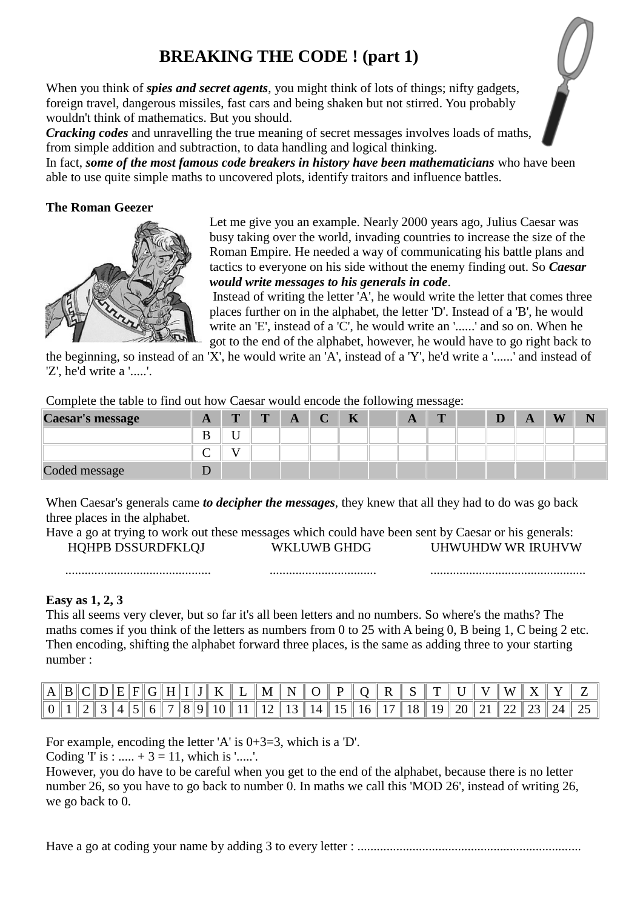## **BREAKING THE CODE ! (part 1)**

When you think of *spies and secret agents*, you might think of lots of things; nifty gadgets, foreign travel, dangerous missiles, fast cars and being shaken but not stirred. You probably wouldn't think of mathematics. But you should.

*Cracking codes* and unravelling the true meaning of secret messages involves loads of maths, from simple addition and subtraction, to data handling and logical thinking.

In fact, *some of the most famous code breakers in history have been mathematicians* who have been able to use quite simple maths to uncovered plots, identify traitors and influence battles.

### **The Roman Geezer**



Let me give you an example. Nearly 2000 years ago, Julius Caesar was busy taking over the world, invading countries to increase the size of the Roman Empire. He needed a way of communicating his battle plans and tactics to everyone on his side without the enemy finding out. So *Caesar would write messages to his generals in code*.

Instead of writing the letter 'A', he would write the letter that comes three places further on in the alphabet, the letter 'D'. Instead of a 'B', he would write an 'E', instead of a 'C', he would write an '......' and so on. When he got to the end of the alphabet, however, he would have to go right back to

................................................

the beginning, so instead of an 'X', he would write an 'A', instead of a 'Y', he'd write a '......' and instead of 'Z', he'd write a '.....'.

Complete the table to find out how Caesar would encode the following message:

| Caesar's message | A | $\mathbf{m}$ | $\mathbf{r}$ | A | TZ<br>n | $\mathbf{L}$ | $\mathbf{m}$ |  | A | <b>IXI</b> |  |
|------------------|---|--------------|--------------|---|---------|--------------|--------------|--|---|------------|--|
|                  |   | T            |              |   |         |              |              |  |   |            |  |
|                  |   | $\mathbf{v}$ |              |   |         |              |              |  |   |            |  |
| Coded message    |   |              |              |   |         |              |              |  |   |            |  |

When Caesar's generals came *to decipher the messages*, they knew that all they had to do was go back three places in the alphabet.

Have a go at trying to work out these messages which could have been sent by Caesar or his generals: HQHPB DSSURDFKLQJ WKLUWB GHDG UHWUHDW WR IRUHVW

.................................

**Easy as 1, 2, 3**

This all seems very clever, but so far it's all been letters and no numbers. So where's the maths? The maths comes if you think of the letters as numbers from 0 to 25 with A being 0, B being 1, C being 2 etc. Then encoding, shifting the alphabet forward three places, is the same as adding three to your starting number :

| $\mathbf{A}$ |  |  |  |   |     | M |            |  |    | m  |  | W |  |  |
|--------------|--|--|--|---|-----|---|------------|--|----|----|--|---|--|--|
|              |  |  |  | ↗ | . . |   | $\sqrt{1}$ |  | 18 | ιū |  |   |  |  |

For example, encoding the letter 'A' is 0+3=3, which is a 'D'.

Coding T is : .....  $+ 3 = 11$ , which is '.....'.

.............................................

However, you do have to be careful when you get to the end of the alphabet, because there is no letter number 26, so you have to go back to number 0. In maths we call this 'MOD 26', instead of writing 26, we go back to 0.

Have a go at coding your name by adding 3 to every letter : .....................................................................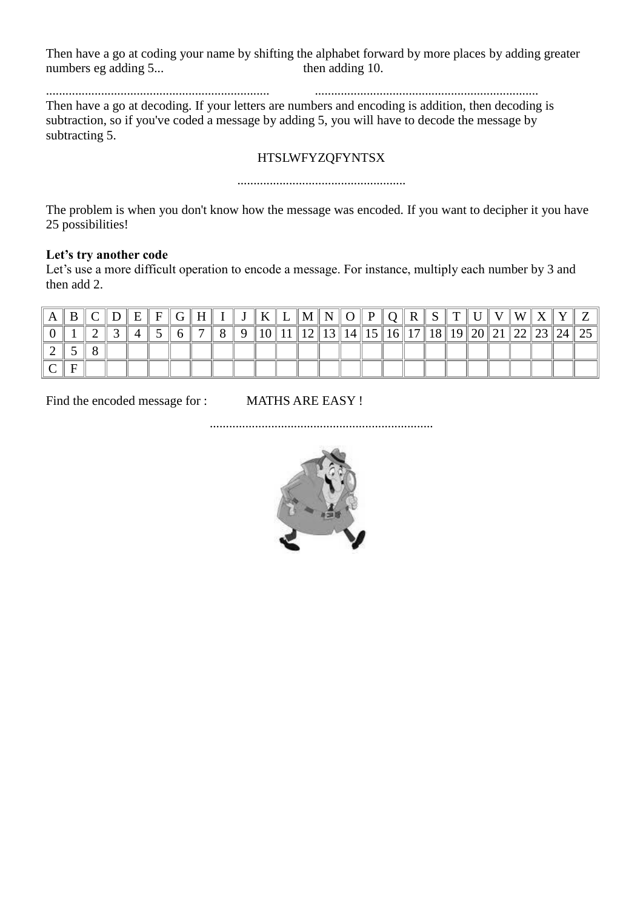Then have a go at coding your name by shifting the alphabet forward by more places by adding greater numbers eg adding 5... then adding 10.

..................................................................... ..................................................................... Then have a go at decoding. If your letters are numbers and encoding is addition, then decoding is subtraction, so if you've coded a message by adding 5, you will have to decode the message by subtracting 5.

### HTSLWFYZQFYNTSX

....................................................

The problem is when you don't know how the message was encoded. If you want to decipher it you have 25 possibilities!

#### **Let's try another code**

Let's use a more difficult operation to encode a message. For instance, multiply each number by 3 and then add 2.

|  |  | $\mathbf{E}$ | $F \parallel G \parallel$ |  |  |  |  |        | $\mid K \parallel L \parallel M \parallel N \parallel O \parallel P \parallel Q \parallel R \parallel$ | $S \parallel T \parallel U$ |                | W <sup>2</sup> |             |        |  |
|--|--|--------------|---------------------------|--|--|--|--|--------|--------------------------------------------------------------------------------------------------------|-----------------------------|----------------|----------------|-------------|--------|--|
|  |  |              |                           |  |  |  |  | 14  15 | 16  17                                                                                                 |                             | 18  19  20  21 |                | ਾ ∠∠ ∥ ∠J ∥ | . Z4 ' |  |
|  |  |              |                           |  |  |  |  |        |                                                                                                        |                             |                |                |             |        |  |
|  |  |              |                           |  |  |  |  |        |                                                                                                        |                             |                |                |             |        |  |

Find the encoded message for : MATHS ARE EASY !

.....................................................................

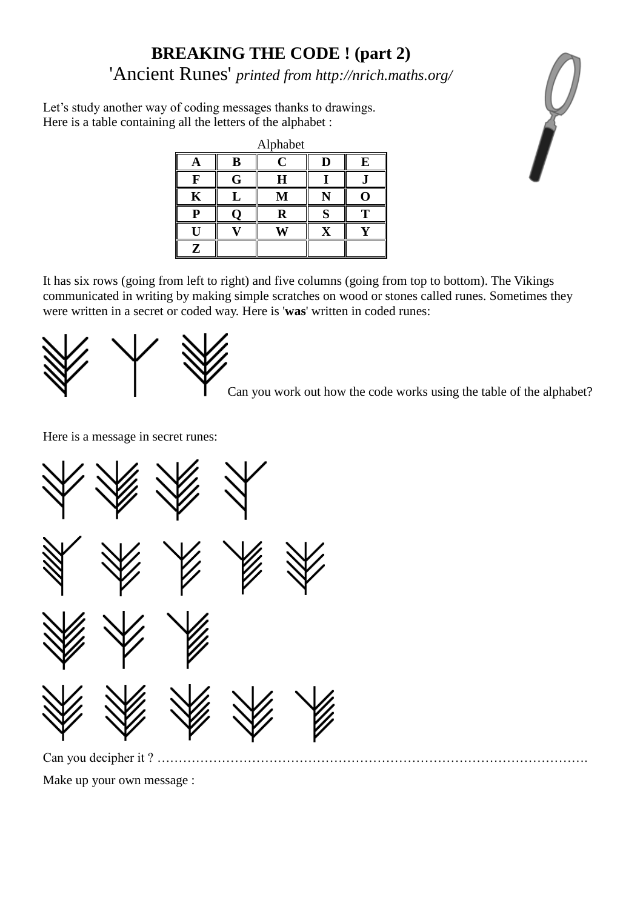# **BREAKING THE CODE ! (part 2)** 'Ancient Runes' *printed from http://nrich.maths.org/*

Let's study another way of coding messages thanks to drawings. Here is a table containing all the letters of the alphabet :

|           |   | Alphabet    |   |   |
|-----------|---|-------------|---|---|
|           | B | $\mathbf C$ | D | E |
|           | G | H           |   |   |
| K         |   | M           |   |   |
| n         |   | R           | O |   |
|           |   |             |   |   |
| ${\bf z}$ |   |             |   |   |

It has six rows (going from left to right) and five columns (going from top to bottom). The Vikings communicated in writing by making simple scratches on wood or stones called runes. Sometimes they were written in a secret or coded way. Here is '**was**' written in coded runes:



Can you work out how the code works using the table of the alphabet?

Here is a message in secret runes:



Can you decipher it ? ……………………………………………………………………………………….

Make up your own message :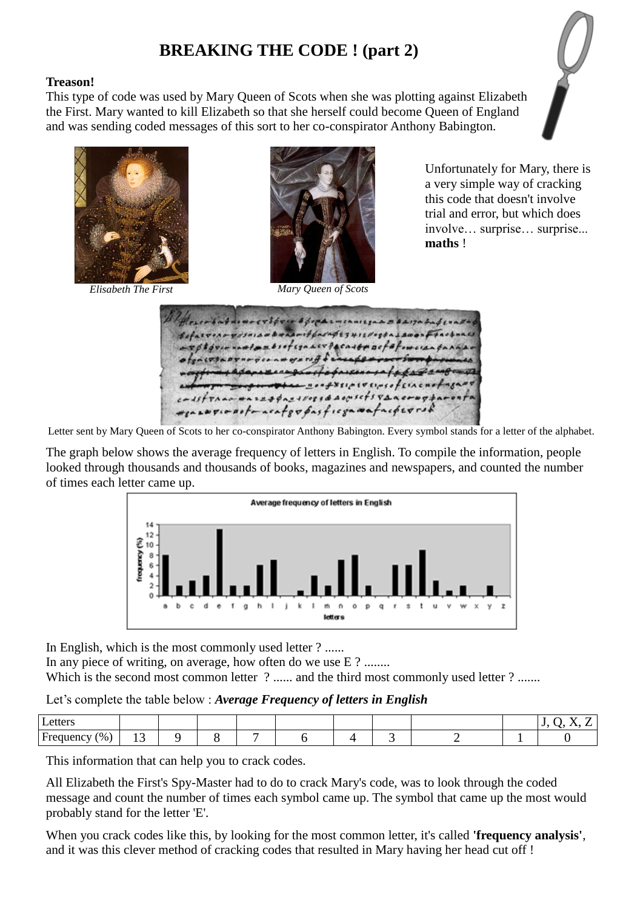## **BREAKING THE CODE ! (part 2)**

### **Treason!**

This type of code was used by Mary Queen of Scots when she was plotting against Elizabeth the First. Mary wanted to kill Elizabeth so that she herself could become Queen of England and was sending coded messages of this sort to her co-conspirator Anthony Babington.







*Elisabeth The First Mary Queen of Scots*

Unfortunately for Mary, there is a very simple way of cracking this code that doesn't involve trial and error, but which does involve… surprise… surprise... **maths** !

- Sport emeanized = BAIJah  $if$ barageruisreeta Lace  $H = 1650f$ Leviscontractofowereach Vernsoffiaca Istraac wazzapazirozza Aogistisvano reasopic noto acatevéasficon matacherro.

Letter sent by Mary Queen of Scots to her co-conspirator Anthony Babington. Every symbol stands for a letter of the alphabet.

The graph below shows the average frequency of letters in English. To compile the information, people looked through thousands and thousands of books, magazines and newspapers, and counted the number of times each letter came up.



In English, which is the most commonly used letter ? ......

In any piece of writing, on average, how often do we use E ? ........

Which is the second most common letter ? ...... and the third most commonly used letter ? .......

Let's complete the table below : *Average Frequency of letters in English*

| Letters                    |        |  |  |  |  | -<br>. . |
|----------------------------|--------|--|--|--|--|----------|
| $\frac{9}{6}$<br>Frequency | $\sim$ |  |  |  |  |          |

This information that can help you to crack codes.

All Elizabeth the First's Spy-Master had to do to crack Mary's code, was to look through the coded message and count the number of times each symbol came up. The symbol that came up the most would probably stand for the letter 'E'.

When you crack codes like this, by looking for the most common letter, it's called **'frequency analysis'**, and it was this clever method of cracking codes that resulted in Mary having her head cut off !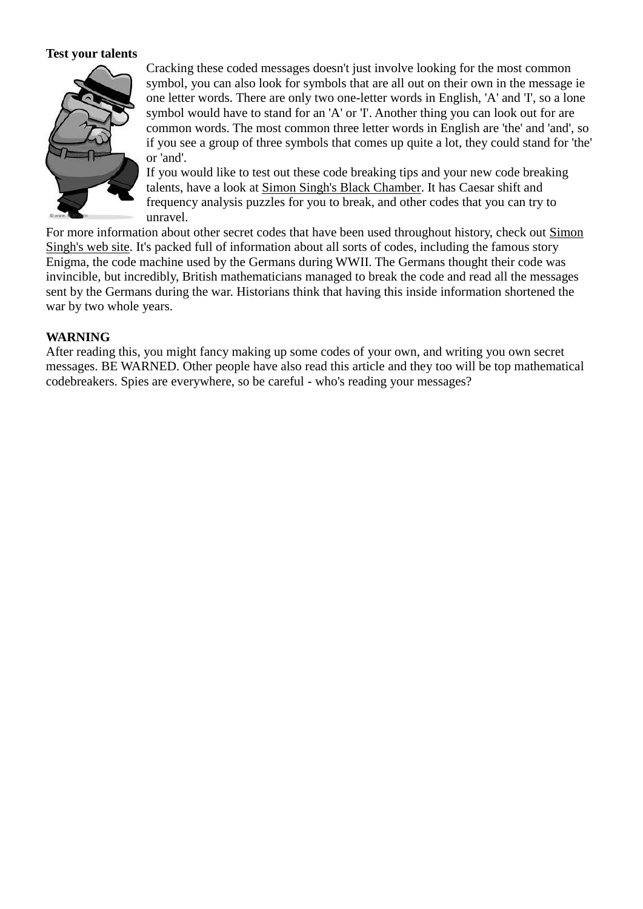#### **Test your talents**



Cracking these coded messages doesn't just involve looking for the most common symbol, you can also look for symbols that are all out on their own in the message ie one letter words. There are only two one-letter words in English, 'A' and 'I', so a lone symbol would have to stand for an 'A' or 'I'. Another thing you can look out for are common words. The most common three letter words in English are 'the' and 'and', so if you see a group of three symbols that comes up quite a lot, they could stand for 'the' or 'and'.

If you would like to test out these code breaking tips and your new code breaking talents, have a look at [Simon Singh's Black Chamber.](http://www.simonsingh.net/The_Black_Chamber.html) It has Caesar shift and frequency analysis puzzles for you to break, and other codes that you can try to unravel.

For more information about other secret codes that have been used throughout history, check out [Simon](http://www.simonsingh.net/)  [Singh's web site.](http://www.simonsingh.net/) It's packed full of information about all sorts of codes, including the famous story Enigma, the code machine used by the Germans during WWII. The Germans thought their code was invincible, but incredibly, British mathematicians managed to break the code and read all the messages sent by the Germans during the war. Historians think that having this inside information shortened the war by two whole years.

#### **WARNING**

After reading this, you might fancy making up some codes of your own, and writing you own secret messages. BE WARNED. Other people have also read this article and they too will be top mathematical codebreakers. Spies are everywhere, so be careful - who's reading your messages?